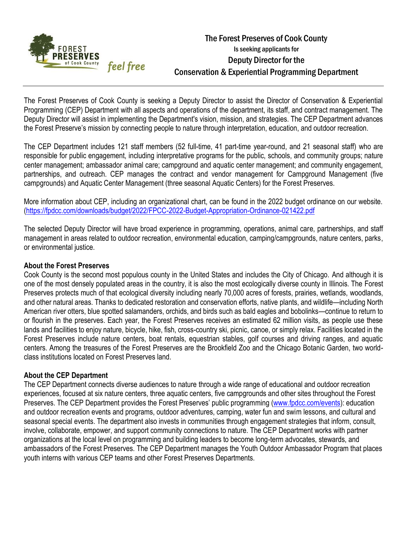

# The Forest Preserves of Cook County Is seeking applicants for Deputy Director for the Conservation & Experiential Programming Department

The Forest Preserves of Cook County is seeking a Deputy Director to assist the Director of Conservation & Experiential Programming (CEP) Department with all aspects and operations of the department, its staff, and contract management. The Deputy Director will assist in implementing the Department's vision, mission, and strategies. The CEP Department advances the Forest Preserve's mission by connecting people to nature through interpretation, education, and outdoor recreation.

The CEP Department includes 121 staff members (52 full-time, 41 part-time year-round, and 21 seasonal staff) who are responsible for public engagement, including interpretative programs for the public, schools, and community groups; nature center management; ambassador animal care; campground and aquatic center management; and community engagement, partnerships, and outreach. CEP manages the contract and vendor management for Campground Management (five campgrounds) and Aquatic Center Management (three seasonal Aquatic Centers) for the Forest Preserves.

More information about CEP, including an organizational chart, can be found in the 2022 budget ordinance on our website. [\(https://fpdcc.com/downloads/budget/2022/FPCC-2022-Budget-Appropriation-Ordinance-021422.pdf](https://fpdcc.com/downloads/budget/2022/FPCC-2022-Budget-Appropriation-Ordinance-021422.pdf)

The selected Deputy Director will have broad experience in programming, operations, animal care, partnerships, and staff management in areas related to outdoor recreation, environmental education, camping/campgrounds, nature centers, parks, or environmental justice.

# **About the Forest Preserves**

Cook County is the second most populous county in the United States and includes the City of Chicago. And although it is one of the most densely populated areas in the country, it is also the most ecologically diverse county in Illinois. The Forest Preserves protects much of that ecological diversity including nearly 70,000 acres of forests, prairies, wetlands, woodlands, and other natural areas. Thanks to dedicated restoration and conservation efforts, native plants, and wildlife—including North American river otters, blue spotted salamanders, orchids, and birds such as bald eagles and bobolinks—continue to return to or flourish in the preserves. Each year, the Forest Preserves receives an estimated 62 million visits, as people use these lands and facilities to enjoy nature, bicycle, hike, fish, cross-country ski, picnic, canoe, or simply relax. Facilities located in the Forest Preserves include nature centers, boat rentals, equestrian stables, golf courses and driving ranges, and aquatic centers. Among the treasures of the Forest Preserves are the Brookfield Zoo and the Chicago Botanic Garden, two worldclass institutions located on Forest Preserves land.

## **About the CEP Department**

The CEP Department connects diverse audiences to nature through a wide range of educational and outdoor recreation experiences, focused at six nature centers, three aquatic centers, five campgrounds and other sites throughout the Forest Preserves. The CEP Department provides the Forest Preserves' public programming [\(www.fpdcc.com/events\)](https://cookcounty-my.sharepoint.com/personal/jacqui_ulrich_cookcountyil_gov/Documents/HR/www.fpdcc.com/events): education and outdoor recreation events and programs, outdoor adventures, camping, water fun and swim lessons, and cultural and seasonal special events. The department also invests in communities through engagement strategies that inform, consult, involve, collaborate, empower, and support community connections to nature. The CEP Department works with partner organizations at the local level on programming and building leaders to become long-term advocates, stewards, and ambassadors of the Forest Preserves. The CEP Department manages the Youth Outdoor Ambassador Program that places youth interns with various CEP teams and other Forest Preserves Departments.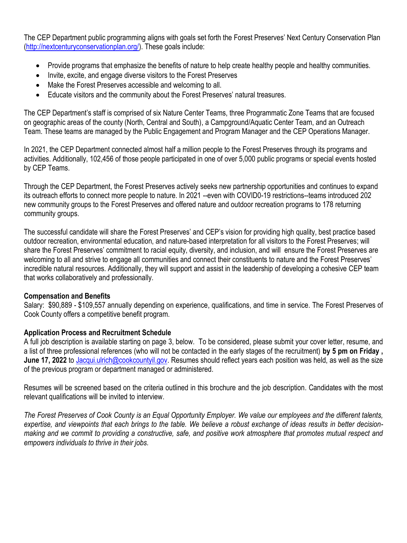The CEP Department public programming aligns with goals set forth the Forest Preserves' Next Century Conservation Plan [\(http://nextcenturyconservationplan.org/\)](http://nextcenturyconservationplan.org/). These goals include:

- Provide programs that emphasize the benefits of nature to help create healthy people and healthy communities.
- Invite, excite, and engage diverse visitors to the Forest Preserves
- Make the Forest Preserves accessible and welcoming to all.
- Educate visitors and the community about the Forest Preserves' natural treasures.

The CEP Department's staff is comprised of six Nature Center Teams, three Programmatic Zone Teams that are focused on geographic areas of the county (North, Central and South), a Campground/Aquatic Center Team, and an Outreach Team. These teams are managed by the Public Engagement and Program Manager and the CEP Operations Manager.

In 2021, the CEP Department connected almost half a million people to the Forest Preserves through its programs and activities. Additionally, 102,456 of those people participated in one of over 5,000 public programs or special events hosted by CEP Teams.

Through the CEP Department, the Forest Preserves actively seeks new partnership opportunities and continues to expand its outreach efforts to connect more people to nature. In 2021 --even with COVID0-19 restrictions--teams introduced 202 new community groups to the Forest Preserves and offered nature and outdoor recreation programs to 178 returning community groups.

The successful candidate will share the Forest Preserves' and CEP's vision for providing high quality, best practice based outdoor recreation, environmental education, and nature-based interpretation for all visitors to the Forest Preserves; will share the Forest Preserves' commitment to racial equity, diversity, and inclusion, and will ensure the Forest Preserves are welcoming to all and strive to engage all communities and connect their constituents to nature and the Forest Preserves' incredible natural resources. Additionally, they will support and assist in the leadership of developing a cohesive CEP team that works collaboratively and professionally.

# **Compensation and Benefits**

Salary: \$90,889 - \$109,557 annually depending on experience, qualifications, and time in service. The Forest Preserves of Cook County offers a competitive benefit program.

## **Application Process and Recruitment Schedule**

A full job description is available starting on page 3, below. To be considered, please submit your cover letter, resume, and a list of three professional references (who will not be contacted in the early stages of the recruitment) **by 5 pm on Friday , June 17, 2022** to [Jacqui.ulrich@cookcountyil.gov.](mailto:Jacqui.ulrich@cookcountyil.gov) Resumes should reflect years each position was held, as well as the size of the previous program or department managed or administered.

Resumes will be screened based on the criteria outlined in this brochure and the job description. Candidates with the most relevant qualifications will be invited to interview.

*The Forest Preserves of Cook County is an Equal Opportunity Employer. We value our employees and the different talents, expertise, and viewpoints that each brings to the table. We believe a robust exchange of ideas results in better decisionmaking and we commit to providing a constructive, safe, and positive work atmosphere that promotes mutual respect and empowers individuals to thrive in their jobs.*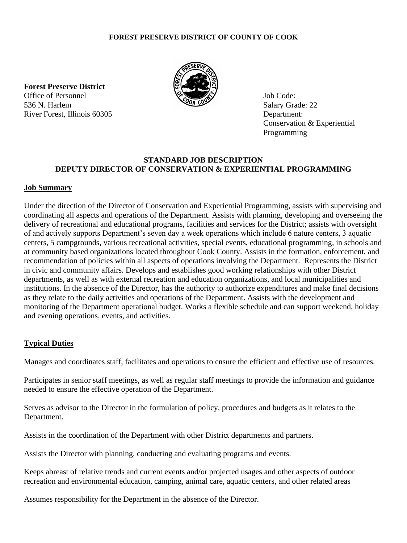#### **FOREST PRESERVE DISTRICT OF COUNTY OF COOK**

**Forest Preserve District** Office of Personnel Solution and Solution of Personnel Job Code: 536 N. Harlem Salary Grade: 22<br>River Forest, Illinois 60305 Department: River Forest, Illinois 60305



Conservation & Experiential Programming

# **STANDARD JOB DESCRIPTION DEPUTY DIRECTOR OF CONSERVATION & EXPERIENTIAL PROGRAMMING**

#### **Job Summary**

Under the direction of the Director of Conservation and Experiential Programming, assists with supervising and coordinating all aspects and operations of the Department. Assists with planning, developing and overseeing the delivery of recreational and educational programs, facilities and services for the District; assists with oversight of and actively supports Department's seven day a week operations which include 6 nature centers, 3 aquatic centers, 5 campgrounds, various recreational activities, special events, educational programming, in schools and at community based organizations located throughout Cook County. Assists in the formation, enforcement, and recommendation of policies within all aspects of operations involving the Department. Represents the District in civic and community affairs. Develops and establishes good working relationships with other District departments, as well as with external recreation and education organizations, and local municipalities and institutions. In the absence of the Director, has the authority to authorize expenditures and make final decisions as they relate to the daily activities and operations of the Department. Assists with the development and monitoring of the Department operational budget. Works a flexible schedule and can support weekend, holiday and evening operations, events, and activities.

## **Typical Duties**

Manages and coordinates staff, facilitates and operations to ensure the efficient and effective use of resources.

Participates in senior staff meetings, as well as regular staff meetings to provide the information and guidance needed to ensure the effective operation of the Department.

Serves as advisor to the Director in the formulation of policy, procedures and budgets as it relates to the Department.

Assists in the coordination of the Department with other District departments and partners.

Assists the Director with planning, conducting and evaluating programs and events.

Keeps abreast of relative trends and current events and/or projected usages and other aspects of outdoor recreation and environmental education, camping, animal care, aquatic centers, and other related areas

Assumes responsibility for the Department in the absence of the Director.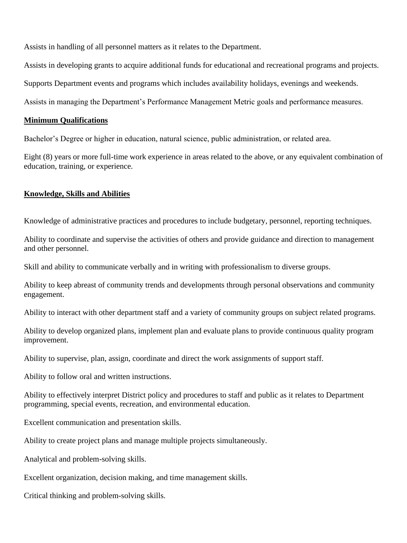Assists in handling of all personnel matters as it relates to the Department.

Assists in developing grants to acquire additional funds for educational and recreational programs and projects.

Supports Department events and programs which includes availability holidays, evenings and weekends.

Assists in managing the Department's Performance Management Metric goals and performance measures.

#### **Minimum Qualifications**

Bachelor's Degree or higher in education, natural science, public administration, or related area.

Eight (8) years or more full-time work experience in areas related to the above, or any equivalent combination of education, training, or experience.

## **Knowledge, Skills and Abilities**

Knowledge of administrative practices and procedures to include budgetary, personnel, reporting techniques.

Ability to coordinate and supervise the activities of others and provide guidance and direction to management and other personnel.

Skill and ability to communicate verbally and in writing with professionalism to diverse groups.

Ability to keep abreast of community trends and developments through personal observations and community engagement.

Ability to interact with other department staff and a variety of community groups on subject related programs.

Ability to develop organized plans, implement plan and evaluate plans to provide continuous quality program improvement.

Ability to supervise, plan, assign, coordinate and direct the work assignments of support staff.

Ability to follow oral and written instructions.

Ability to effectively interpret District policy and procedures to staff and public as it relates to Department programming, special events, recreation, and environmental education.

Excellent communication and presentation skills.

Ability to create project plans and manage multiple projects simultaneously.

Analytical and problem-solving skills.

Excellent organization, decision making, and time management skills.

Critical thinking and problem-solving skills.